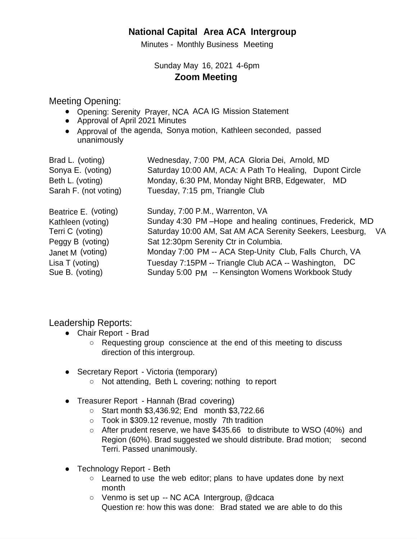## **National Capital Area ACA Intergroup**

Minutes - Monthly Business Meeting

## Sunday May 16, 2021 4-6pm **Zoom Meeting**

## Meeting Opening:

- Opening: Serenity Prayer, NCA ACA IG Mission Statement
- Approval of April 2021 Minutes
- Approval of the agenda, Sonya motion, Kathleen seconded, passed unanimously

| Brad L. (voting)<br>Sonya E. (voting)<br>Beth L. (voting)<br>Sarah F. (not voting) | Wednesday, 7:00 PM, ACA Gloria Dei, Arnold, MD<br>Saturday 10:00 AM, ACA: A Path To Healing, Dupont Circle<br>Monday, 6:30 PM, Monday Night BRB, Edgewater, MD<br>Tuesday, 7:15 pm, Triangle Club |
|------------------------------------------------------------------------------------|---------------------------------------------------------------------------------------------------------------------------------------------------------------------------------------------------|
| Beatrice E. (voting)                                                               | Sunday, 7:00 P.M., Warrenton, VA                                                                                                                                                                  |
| Kathleen (voting)                                                                  | Sunday 4:30 PM-Hope and healing continues, Frederick, MD                                                                                                                                          |
| Terri C (voting)                                                                   | Saturday 10:00 AM, Sat AM ACA Serenity Seekers, Leesburg, VA                                                                                                                                      |
| Peggy B (voting)                                                                   | Sat 12:30pm Serenity Ctr in Columbia.                                                                                                                                                             |
| Janet M (voting)                                                                   | Monday 7:00 PM -- ACA Step-Unity Club, Falls Church, VA                                                                                                                                           |
| Lisa T (voting)                                                                    | Tuesday 7:15PM -- Triangle Club ACA -- Washington, DC                                                                                                                                             |
| Sue B. (voting)                                                                    | Sunday 5:00 PM -- Kensington Womens Workbook Study                                                                                                                                                |

Leadership Reports:

- Chair Report Brad
	- Requesting group conscience at the end of this meeting to discuss direction of this intergroup.
- Secretary Report Victoria (temporary)
	- Not attending, Beth L covering; nothing to report
- Treasurer Report Hannah (Brad covering)
	- Start month \$3,436.92; End month \$3,722.66
	- Took in \$309.12 revenue, mostly 7th tradition
	- $\circ$  After prudent reserve, we have \$435.66 to distribute to WSO (40%) and Region (60%). Brad suggested we should distribute. Brad motion; second Terri. Passed unanimously.
- Technology Report Beth
	- Learned to use the web editor; plans to have updates done by next month
	- Venmo is set up -- NC ACA Intergroup, @dcaca Question re: how this was done: Brad stated we are able to do this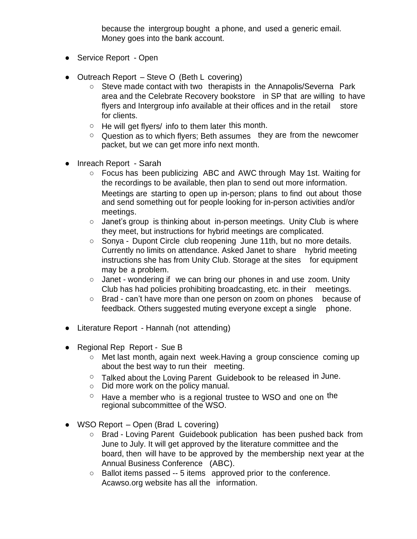because the intergroup bought a phone, and used a generic email. Money goes into the bank account.

- Service Report Open
- Outreach Report Steve O (Beth L covering)
	- Steve made contact with two therapists in the Annapolis/Severna Park area and the Celebrate Recovery bookstore in SP that are willing to have flyers and Intergroup info available at their offices and in the retail store for clients.
	- He will get flyers/ info to them later this month.
	- Question as to which flyers; Beth assumes they are from the newcomer packet, but we can get more info next month.
- Inreach Report Sarah
	- Meetings are starting to open up in-person; plans to find out about those ○ Focus has been publicizing ABC and AWC through May 1st. Waiting for the recordings to be available, then plan to send out more information. and send something out for people looking for in-person activities and/or meetings.
	- Janet's group is thinking about in-person meetings. Unity Club is where they meet, but instructions for hybrid meetings are complicated.
	- Sonya Dupont Circle club reopening June 11th, but no more details. Currently no limits on attendance. Asked Janet to share hybrid meeting instructions she has from Unity Club. Storage at the sites for equipment may be a problem.
	- $\circ$  Janet wondering if we can bring our phones in and use zoom. Unity Club has had policies prohibiting broadcasting, etc. in their meetings.
	- Brad can't have more than one person on zoom on phones because of feedback. Others suggested muting everyone except a single phone.
- Literature Report Hannah (not attending)
- Regional Rep Report Sue B
	- Met last month, again next week. Having a group conscience coming up about the best way to run their meeting.
	- Talked about the Loving Parent Guidebook to be released in June.
	- Did more work on the policy manual.
	- $\circ$  Have a member who is a regional trustee to WSO and one on the regional subcommittee of the WSO.
- WSO Report Open (Brad L covering)
	- Brad Loving Parent Guidebook publication has been pushed back from June to July. It will get approved by the literature committee and the board, then will have to be approved by the membership next year at the Annual Business Conference (ABC).
	- Ballot items passed -- 5 items approved prior to the conference. Acawso.org website has all the information.